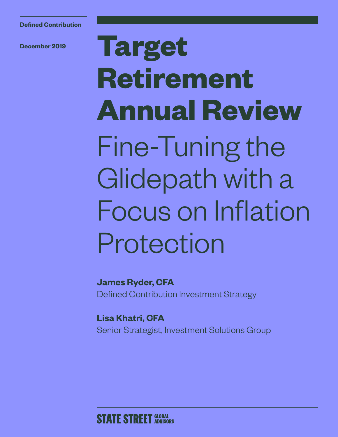**December 2019**

# **Target Retirement Annual Review** Fine-Tuning the Glidepath with a Focus on Inflation Protection

**James Ryder, CFA**  Defined Contribution Investment Strategy

**Lisa Khatri, CFA** Senior Strategist, Investment Solutions Group

### **STATE STREET GLOBAL**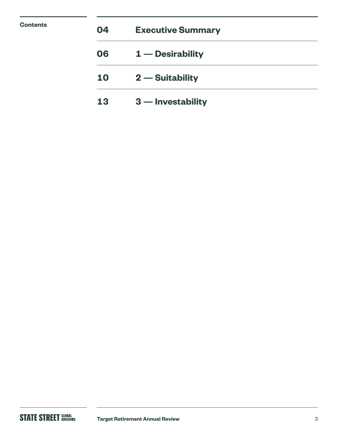| <b>Contents</b> | 04 | <b>Executive Summary</b> |  |
|-----------------|----|--------------------------|--|
|                 | 06 | $1$ – Desirability       |  |
|                 | 10 | $2$ – Suitability        |  |
|                 | 13 | $3$ – Investability      |  |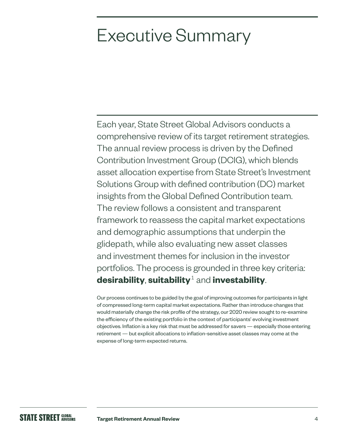# Executive Summary

Each year, State Street Global Advisors conducts a comprehensive review of its target retirement strategies. The annual review process is driven by the Defined Contribution Investment Group (DCIG), which blends asset allocation expertise from State Street's Investment Solutions Group with defined contribution (DC) market insights from the Global Defined Contribution team. The review follows a consistent and transparent framework to reassess the capital market expectations and demographic assumptions that underpin the glidepath, while also evaluating new asset classes and investment themes for inclusion in the investor portfolios. The process is grounded in three key criteria: **desirability**, **suitability**1 and **investability**.

Our process continues to be guided by the goal of improving outcomes for participants in light of compressed long-term capital market expectations. Rather than introduce changes that would materially change the risk profile of the strategy, our 2020 review sought to re-examine the efficiency of the existing portfolio in the context of participants' evolving investment objectives. Inflation is a key risk that must be addressed for savers — especially those entering retirement — but explicit allocations to inflation-sensitive asset classes may come at the expense of long-term expected returns.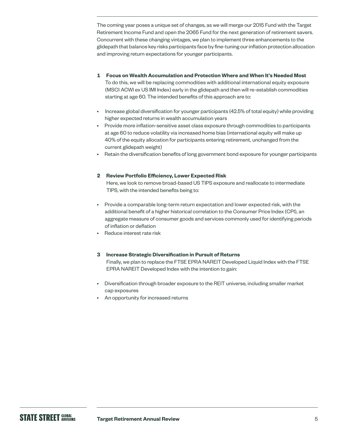The coming year poses a unique set of changes, as we will merge our 2015 Fund with the Target Retirement Income Fund and open the 2065 Fund for the next generation of retirement savers. Concurrent with these changing vintages, we plan to implement three enhancements to the glidepath that balance key risks participants face by fine-tuning our inflation protection allocation and improving return expectations for younger participants.

- **1 Focus on Wealth Accumulation and Protection Where and When It's Needed Most** To do this, we will be replacing commodities with additional international equity exposure (MSCI ACWI ex US IMI Index) early in the glidepath and then will re-establish commodities starting at age 60. The intended benefits of this approach are to:
- Increase global diversification for younger participants (42.5% of total equity) while providing higher expected returns in wealth accumulation years
- Provide more inflation-sensitive asset class exposure through commodities to participants at age 60 to reduce volatility via increased home bias (international equity will make up 40% of the equity allocation for participants entering retirement, unchanged from the current glidepath weight)
- Retain the diversification benefits of long government bond exposure for younger participants

#### **2 Review Portfolio Efficiency, Lower Expected Risk**

Here, we look to remove broad-based US TIPS exposure and reallocate to intermediate TIPS, with the intended benefits being to:

- Provide a comparable long-term return expectation and lower expected risk, with the additional benefit of a higher historical correlation to the Consumer Price Index (CPI), an aggregate measure of consumer goods and services commonly used for identifying periods of inflation or deflation
- Reduce interest rate risk

#### **3 Increase Strategic Diversification in Pursuit of Returns**

Finally, we plan to replace the FTSE EPRA NAREIT Developed Liquid Index with the FTSE EPRA NAREIT Developed Index with the intention to gain:

- Diversification through broader exposure to the REIT universe, including smaller market cap exposures
- An opportunity for increased returns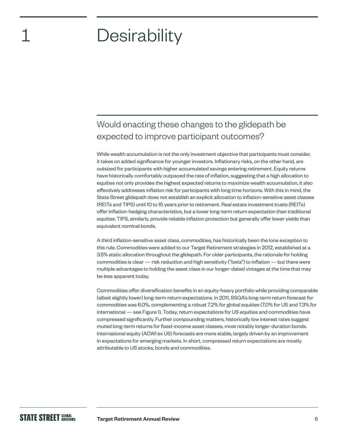# **Desirability**

1

### Would enacting these changes to the glidepath be expected to improve participant outcomes?

While wealth accumulation is not the only investment objective that participants must consider, it takes on added significance for younger investors. Inflationary risks, on the other hand, are outsized for participants with higher accumulated savings entering retirement. Equity returns have historically comfortably outpaced the rate of inflation, suggesting that a high allocation to equities not only provides the highest expected returns to maximize wealth accumulation, it also effectively addresses inflation risk for participants with long time horizons. With this in mind, the State Street glidepath does not establish an explicit allocation to inflation-sensitive asset classes (REITs and TIPS) until 10 to 15 years prior to retirement. Real estate investment trusts (REITs) offer inflation-hedging characteristics, but a lower long-term return expectation than traditional equities. TIPS, similarly, provide reliable inflation protection but generally offer lower yields than equivalent nominal bonds.

A third inflation-sensitive asset class, commodities, has historically been the lone exception to this rule. Commodities were added to our Target Retirement strategies in 2012, established at a 3.5% static allocation throughout the glidepath. For older participants, the rationale for holding commodities is clear — risk reduction and high sensitivity ("beta") to inflation — but there were multiple advantages to holding the asset class in our longer-dated vintages at the time that may be less apparent today.

Commodities offer diversification benefits in an equity-heavy portfolio while providing comparable (albeit slightly lower) long-term return expectations. In 2011, SSGA's long-term return forecast for commodities was 6.0%, complementing a robust 7.2% for global equities (7.0% for US and 7.3% for international — see Figure 1). Today, return expectations for US equities and commodities have compressed significantly. Further compounding matters, historically low interest rates suggest muted long-term returns for fixed-income asset classes, most notably longer-duration bonds. International equity (ACWI ex US) forecasts are more stable, largely driven by an improvement in expectations for emerging markets. In short, compressed return expectations are mostly attributable to US stocks, bonds and commodities.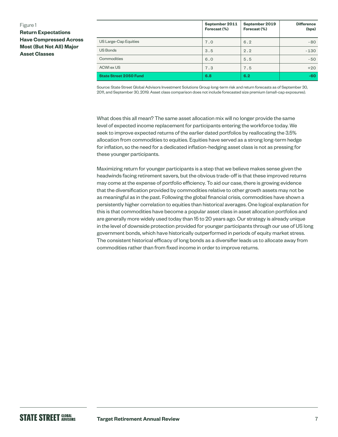#### Figure 1

**Return Expectations Have Compressed Across Most (But Not All) Major Asset Classes**

|                               | September 2011<br>Forecast (%) | September 2019<br>Forecast (%) | <b>Difference</b><br>(bps) |
|-------------------------------|--------------------------------|--------------------------------|----------------------------|
| US Large-Cap Equities         | 7.0                            | 6.2                            | $-80$                      |
| US Bonds                      | 3.5                            | 2.2                            | $-130$                     |
| Commodities                   | 6.0                            | 5.5                            | $-50$                      |
| ACWI ex US                    | 7.3                            | 7.5                            | $+20$                      |
| <b>State Street 2050 Fund</b> | 6.8                            | 6.2                            | $-60$                      |

Source: State Street Global Advisors Investment Solutions Group long-term risk and return forecasts as of September 30, 2011, and September 30, 2019. Asset class comparison does not include forecasted size premium (small-cap exposures).

What does this all mean? The same asset allocation mix will no longer provide the same level of expected income replacement for participants entering the workforce today. We seek to improve expected returns of the earlier dated portfolios by reallocating the 3.5% allocation from commodities to equities. Equities have served as a strong long-term hedge for inflation, so the need for a dedicated inflation-hedging asset class is not as pressing for these younger participants.

Maximizing return for younger participants is a step that we believe makes sense given the headwinds facing retirement savers, but the obvious trade-off is that these improved returns may come at the expense of portfolio efficiency. To aid our case, there is growing evidence that the diversification provided by commodities relative to other growth assets may not be as meaningful as in the past. Following the global financial crisis, commodities have shown a persistently higher correlation to equities than historical averages. One logical explanation for this is that commodities have become a popular asset class in asset allocation portfolios and are generally more widely used today than 15 to 20 years ago. Our strategy is already unique in the level of downside protection provided for younger participants through our use of US long government bonds, which have historically outperformed in periods of equity market stress. The consistent historical efficacy of long bonds as a diversifier leads us to allocate away from commodities rather than from fixed income in order to improve returns.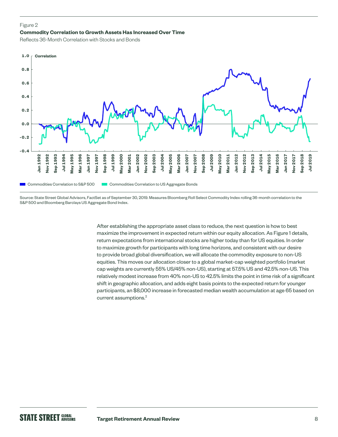#### Figure 2

#### **Commodity Correlation to Growth Assets Has Increased Over Time**

Reflects 36-Month Correlation with Stocks and Bonds



Source: State Street Global Advisors, FactSet as of September 30, 2019. Measures Bloomberg Roll Select Commodity Index rolling 36-month correlation to the S&P 500 and Bloomberg Barclays US Aggregate Bond Index.

> After establishing the appropriate asset class to reduce, the next question is how to best maximize the improvement in expected return within our equity allocation. As Figure 1 details, return expectations from international stocks are higher today than for US equities. In order to maximize growth for participants with long time horizons, and consistent with our desire to provide broad global diversification, we will allocate the commodity exposure to non-US equities. This moves our allocation closer to a global market-cap weighted portfolio (market cap weights are currently 55% US/45% non-US), starting at 57.5% US and 42.5% non-US. This relatively modest increase from 40% non-US to 42.5% limits the point in time risk of a significant shift in geographic allocation, and adds eight basis points to the expected return for younger participants, an \$8,000 increase in forecasted median wealth accumulation at age 65 based on current assumptions.<sup>2</sup>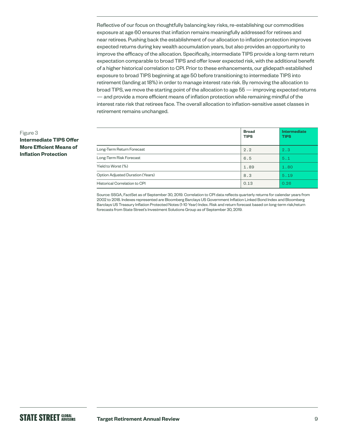Reflective of our focus on thoughtfully balancing key risks, re-establishing our commodities exposure at age 60 ensures that inflation remains meaningfully addressed for retirees and near retirees. Pushing back the establishment of our allocation to inflation protection improves expected returns during key wealth accumulation years, but also provides an opportunity to improve the efficacy of the allocation. Specifically, intermediate TIPS provide a long-term return expectation comparable to broad TIPS and offer lower expected risk, with the additional benefit of a higher historical correlation to CPI. Prior to these enhancements, our glidepath established exposure to broad TIPS beginning at age 50 before transitioning to intermediate TIPS into retirement (landing at 18%) in order to manage interest rate risk. By removing the allocation to broad TIPS, we move the starting point of the allocation to age 55 — improving expected returns — and provide a more efficient means of inflation protection while remaining mindful of the interest rate risk that retirees face. The overall allocation to inflation-sensitive asset classes in retirement remains unchanged.

|                                  | <b>Broad</b><br><b>TIPS</b> | <b>Intermediate</b><br><b>TIPS</b> |
|----------------------------------|-----------------------------|------------------------------------|
| Long-Term Return Forecast        | 2.2                         | 2.3                                |
| Long-Term Risk Forecast          | 6.5                         | 5.1                                |
| Yield to Worst (%)               | 1.89                        | 1.80                               |
| Option Adjusted Duration (Years) | 8.3                         | 5.19                               |
| Historical Correlation to CPI    | 0.13                        | 0.26                               |

Source: SSGA, FactSet as of September 30, 2019. Correlation to CPI data reflects quarterly returns for calendar years from 2002 to 2018. Indexes represented are Bloomberg Barclays US Government Inflation Linked Bond Index and Bloomberg Barclays US Treasury Inflation Protected Notes (1-10 Year) Index. Risk and return forecast based on long-term risk/return forecasts from State Street's Investment Solutions Group as of September 30, 2019.

#### Figure 3

**Intermediate TIPS Offer More Efficient Means of Inflation Protection**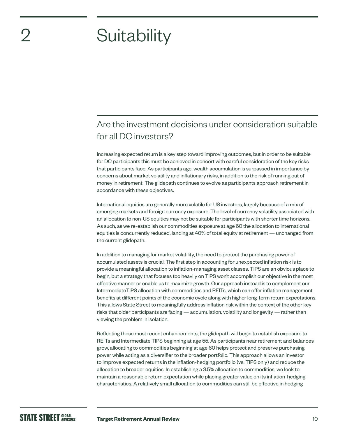# **Suitability**

### Are the investment decisions under consideration suitable for all DC investors?

Increasing expected return is a key step toward improving outcomes, but in order to be suitable for DC participants this must be achieved in concert with careful consideration of the key risks that participants face. As participants age, wealth accumulation is surpassed in importance by concerns about market volatility and inflationary risks, in addition to the risk of running out of money in retirement. The glidepath continues to evolve as participants approach retirement in accordance with these objectives.

International equities are generally more volatile for US investors, largely because of a mix of emerging markets and foreign currency exposure. The level of currency volatility associated with an allocation to non-US equities may not be suitable for participants with shorter time horizons. As such, as we re-establish our commodities exposure at age 60 the allocation to international equities is concurrently reduced, landing at 40% of total equity at retirement — unchanged from the current glidepath.

In addition to managing for market volatility, the need to protect the purchasing power of accumulated assets is crucial. The first step in accounting for unexpected inflation risk is to provide a meaningful allocation to inflation-managing asset classes. TIPS are an obvious place to begin, but a strategy that focuses too heavily on TIPS won't accomplish our objective in the most effective manner or enable us to maximize growth. Our approach instead is to complement our IntermediateTIPS allocation with commodities and REITs, which can offer inflation management benefits at different points of the economic cycle along with higher long-term return expectations. This allows State Street to meaningfully address inflation risk within the context of the other key risks that older participants are facing — accumulation, volatility and longevity — rather than viewing the problem in isolation.

Reflecting these most recent enhancements, the glidepath will begin to establish exposure to REITs and Intermediate TIPS beginning at age 55. As participants near retirement and balances grow, allocating to commodities beginning at age 60 helps protect and preserve purchasing power while acting as a diversifier to the broader portfolio. This approach allows an investor to improve expected returns in the inflation-hedging portfolio (vs. TIPS only) and reduce the allocation to broader equities. In establishing a 3.5% allocation to commodities, we look to maintain a reasonable return expectation while placing greater value on its inflation-hedging characteristics. A relatively small allocation to commodities can still be effective in hedging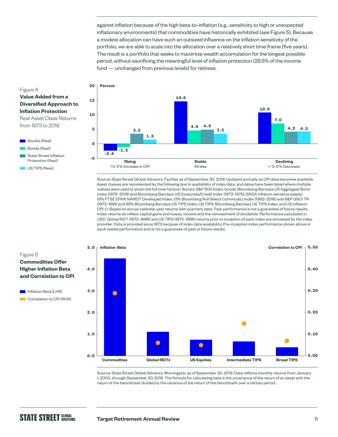against inflation because of the high beta-to-inflation (e.g., sensitivity to high or unexpected inflationary environments) that commodities have historically exhibited (see Figure 5). Because a modest allocation can have such an outsized influence on the inflation sensitivity of the portfolio, we are able to scale into the allocation over a relatively short time frame (five years). The result is a portfolio that seeks to maximize wealth accumulation for the longest possible period, without sacrificing the meaningful level of inflation protection (26.5% of the income fund — unchanged from previous levels) for retirees.



Source: State Street Global Advisors, FactSet as of September 30, 2019. Updated annually as CPI data becomes available. Asset classes are represented by the following due to availability of index data, and dates have been listed where multiple indices were used to attain the full time horizon: Stocks: S&P 500 Index; bonds: Bloomberg Barclays US Aggregate Bond Index (1976–2018) and Bloomberg Barclays US Corporate/Credit Index (1973–1975); SSGA inflation-sensitive assets: 19% FTSE EPRA NAREIT Developed Index, 13% Bloomberg Roll Select Commodity Index (1992–2018) and S&P GSCI TR (1973–1991) and 68% Bloomberg Barclays US TIPS Index; US TIPS: Bloomberg Barclays US TIPS Index; and US inflation: CPI-U. Based on annual calendar year returns with quarterly data. Past performance is not a guarantee of future results. Index returns do reflect capital gains and losses, income and the reinvestment of dividends. Performance calculated in USD. Global REIT (1973–1988) and US TIPS (1973–1998) returns prior to inception of each index are simulated by the index provider. Data is provided since 1973 because of index data availability. Pre-inception index performance shown above is back tested performance and is not a guarantee of past or future results.



Source: State Street Global Advisors, Morningstar as of September 30, 2019. Data reflects monthly returns from January 1, 2000, through September 30, 2019. The formula for calculating beta is the covariance of the return of an asset with the return of the benchmark divided by the variance of the return of the benchmark over a certain period.

#### Figure 4 **Value Added from a Diversified Approach to Inflation Protection** Real Asset Class Returns

from 1973 to 2018



US TIPS (Real)

#### Figure 5

#### **Commodities Offer Higher Inflation Beta and Correlation to CPI**

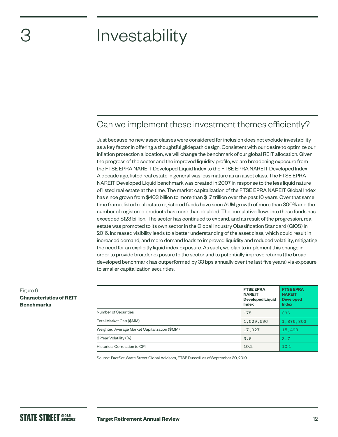# 3

# Investability

### Can we implement these investment themes efficiently?

Just because no new asset classes were considered for inclusion does not exclude investability as a key factor in offering a thoughtful glidepath design. Consistent with our desire to optimize our inflation protection allocation, we will change the benchmark of our global REIT allocation. Given the progress of the sector and the improved liquidity profile, we are broadening exposure from the FTSE EPRA NAREIT Developed Liquid Index to the FTSE EPRA NAREIT Developed Index. A decade ago, listed real estate in general was less mature as an asset class. The FTSE EPRA NAREIT Developed Liquid benchmark was created in 2007 in response to the less liquid nature of listed real estate at the time. The market capitalization of the FTSE EPRA NAREIT Global Index has since grown from \$403 billion to more than \$1.7 trillion over the past 10 years. Over that same time frame, listed real estate registered funds have seen AUM growth of more than 300% and the number of registered products has more than doubled. The cumulative flows into these funds has exceeded \$123 billion. The sector has continued to expand, and as result of the progression, real estate was promoted to its own sector in the Global Industry Classification Standard (GICS) in 2016. Increased visibility leads to a better understanding of the asset class, which could result in increased demand, and more demand leads to improved liquidity and reduced volatility, mitigating the need for an explicitly liquid index exposure. As such, we plan to implement this change in order to provide broader exposure to the sector and to potentially improve returns (the broad developed benchmark has outperformed by 33 bps annually over the last five years) via exposure to smaller capitalization securities.

|                                               | <b>FTSE EPRA</b><br><b>NAREIT</b><br><b>Developed Liquid</b><br>Index | <b>FTSE EPRA</b><br><b>NAREIT</b><br><b>Developed</b><br><b>Index</b> |
|-----------------------------------------------|-----------------------------------------------------------------------|-----------------------------------------------------------------------|
| Number of Securities                          | 175                                                                   | 336                                                                   |
| Total Market Cap (\$MM)                       | 1,529,596                                                             | 1,876,303                                                             |
| Weighted Average Market Capitalization (\$MM) | 17,927                                                                | 15,493                                                                |
| 3-Year Volatility (%)                         | 3.6                                                                   | 3.7                                                                   |
| Historical Correlation to CPI                 | 10.2                                                                  | 10.1                                                                  |

Source: FactSet, State Street Global Advisors, FTSE Russell, as of September 30, 2019.

Figure 6

**Benchmarks**

**Characteristics of REIT**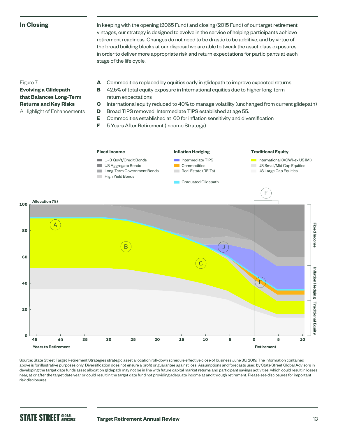#### **In Closing**

In keeping with the opening (2065 Fund) and closing (2015 Fund) of our target retirement vintages, our strategy is designed to evolve in the service of helping participants achieve retirement readiness. Changes do not need to be drastic to be additive, and by virtue of the broad building blocks at our disposal we are able to tweak the asset class exposures in order to deliver more appropriate risk and return expectations for participants at each stage of the life cycle.

#### Figure 7

**Evolving a Glidepath that Balances Long-Term Returns and Key Risks** A Highlight of Enhancements

- **A** Commodities replaced by equities early in glidepath to improve expected returns
- **B** 42.5% of total equity exposure in International equities due to higher long-term return expectations
- **C** International equity reduced to 40% to manage volatility (unchanged from current glidepath)
- **D** Broad TIPS removed. Intermediate TIPS established at age 55.
- **E** Commodities established at 60 for inflation sensitivity and diversification
- **F** 5 Years After Retirement (Income Strategy)



Source: State Street Target Retirement Strategies strategic asset allocation roll-down schedule effective close of business June 30, 2019. The information contained above is for illustrative purposes only. Diversification does not ensure a profit or guarantee against loss. Assumptions and forecasts used by State Street Global Advisors in developing the target date funds asset allocation glidepath may not be in line with future capital market returns and participant savings activities, which could result in losses near, at or after the target date year or could result in the target date fund not providing adequate income at and through retirement. Please see disclosures for important risk disclosures.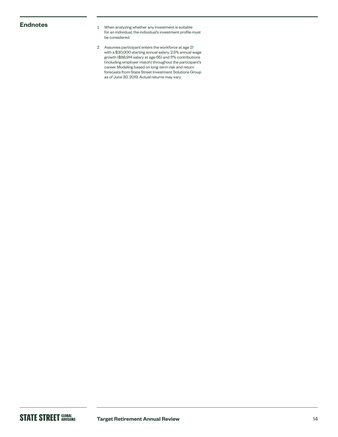- **Endnotes** 1 When analyzing whether any investment is suitable for an individual, the individual's investment profile must be considered.
	- 2 Assumes participant enters the workforce at age 21 with a \$30,000 starting annual salary, 2.5% annual wage growth (\$88,914 salary at age 65) and 11% contributions (including employer match) throughout the participant's career. Modeling based on long-term risk and return forecasts from State Street Investment Solutions Group as of June 30, 2019. Actual returns may vary.